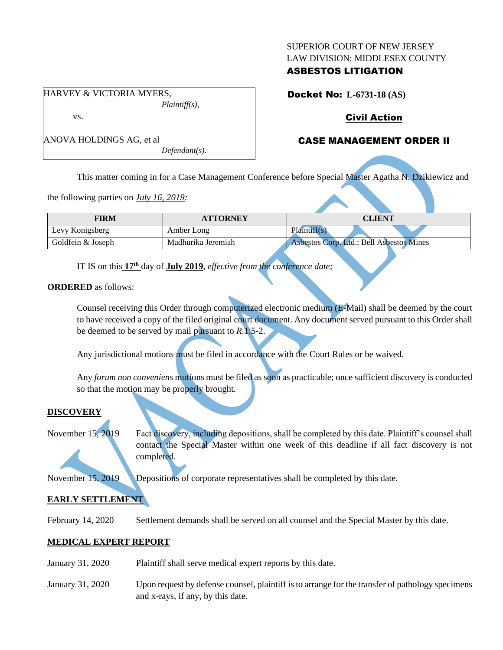#### SUPERIOR COURT OF NEW JERSEY LAW DIVISION: MIDDLESEX COUNTY

# ASBESTOS LITIGATION

Docket No: **L-6731-18 (AS)**

# Civil Action

# CASE MANAGEMENT ORDER II

ANOVA HOLDINGS AG, et al *Defendant(s).*

This matter coming in for a Case Management Conference before Special Master Agatha N. Dzikiewicz and

the following parties on *July 16, 2019:*

| FIRM              | <b>ATTORNEY</b>    | <b>CLIENT</b>                            |
|-------------------|--------------------|------------------------------------------|
| Levy Konigsberg   | Amber Long         | Plaintiff(s)                             |
| Goldfein & Joseph | Madhurika Jeremiah | Asbestos Corp. Ltd.; Bell Asbestos Mines |

IT IS on this **17 th** day of **July 2019**, *effective from the conference date;*

**ORDERED** as follows:

Counsel receiving this Order through computerized electronic medium (E-Mail) shall be deemed by the court to have received a copy of the filed original court document. Any document served pursuant to this Order shall be deemed to be served by mail pursuant to *R*.1:5-2.

Any jurisdictional motions must be filed in accordance with the Court Rules or be waived.

Any *forum non conveniens* motions must be filed as soon as practicable; once sufficient discovery is conducted so that the motion may be properly brought.

## **DISCOVERY**

November 15, 2019 Fact discovery, including depositions, shall be completed by this date. Plaintiff's counsel shall contact the Special Master within one week of this deadline if all fact discovery is not completed.

November 15, 2019 Depositions of corporate representatives shall be completed by this date.

# **EARLY SETTLEMENT**

February 14, 2020 Settlement demands shall be served on all counsel and the Special Master by this date.

# **MEDICAL EXPERT REPORT**

- January 31, 2020 Plaintiff shall serve medical expert reports by this date.
- January 31, 2020 Upon request by defense counsel, plaintiff is to arrange for the transfer of pathology specimens and x-rays, if any, by this date.

HARVEY & VICTORIA MYERS, *Plaintiff(s),*

vs.